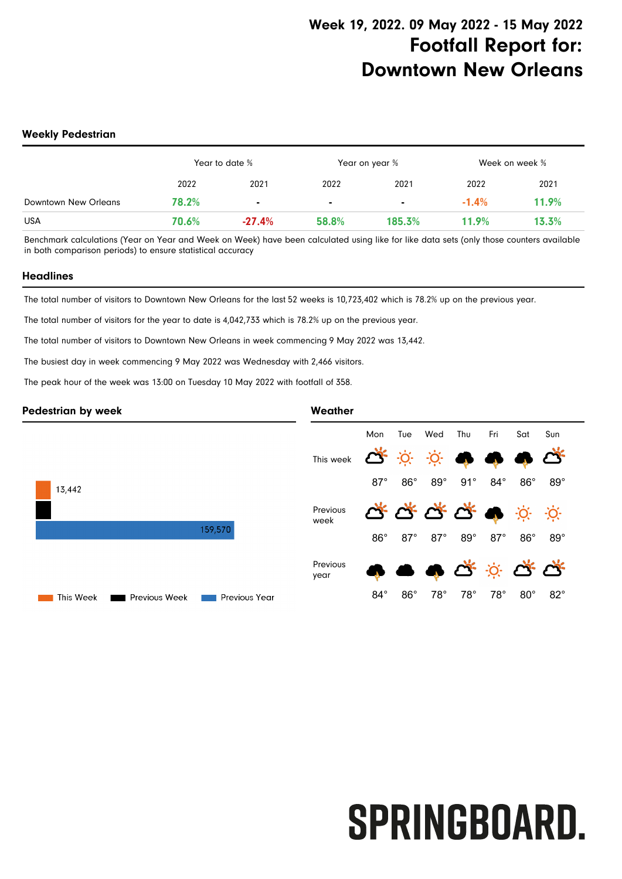#### **Weekly Pedestrian**

|                      | Year to date % |          | Year on year % |                | Week on week % |       |
|----------------------|----------------|----------|----------------|----------------|----------------|-------|
|                      | 2022           | 2021     | 2022           | 2021           | 2022           | 2021  |
| Downtown New Orleans | 78.2%          |          |                | $\blacksquare$ | $-1.4%$        | 11.9% |
| <b>USA</b>           | 70.6%          | $-27.4%$ | 58.8%          | 185.3%         | 11.9%          | 13.3% |

Benchmark calculations (Year on Year and Week on Week) have been calculated using like for like data sets (only those counters available in both comparison periods) to ensure statistical accuracy

#### **Headlines**

The total number of visitors to Downtown New Orleans for the last 52 weeks is 10,723,402 which is 78.2% up on the previous year.

The total number of visitors for the year to date is 4,042,733 which is 78.2% up on the previous year.

The total number of visitors to Downtown New Orleans in week commencing 9 May 2022 was 13,442.

The busiest day in week commencing 9 May 2022 was Wednesday with 2,466 visitors.

The peak hour of the week was 13:00 on Tuesday 10 May 2022 with footfall of 358.

#### **Pedestrian by week Weather** Mon Tue Wed Thu Fri Sat Sun <u>-Ò</u>  $\cdot$ O $\cdot$ This week 87° 86° 89° 91° 84° 86° 89° 13,442 Previous -O-Ö. week 159,570 86° 87° 87° 89° 87° 86° 89° Previous year 84° 86° 78° 78° 78° 80° 82° This Week Previous Week **THE Previous Year**

# **SPRINGBOARD.**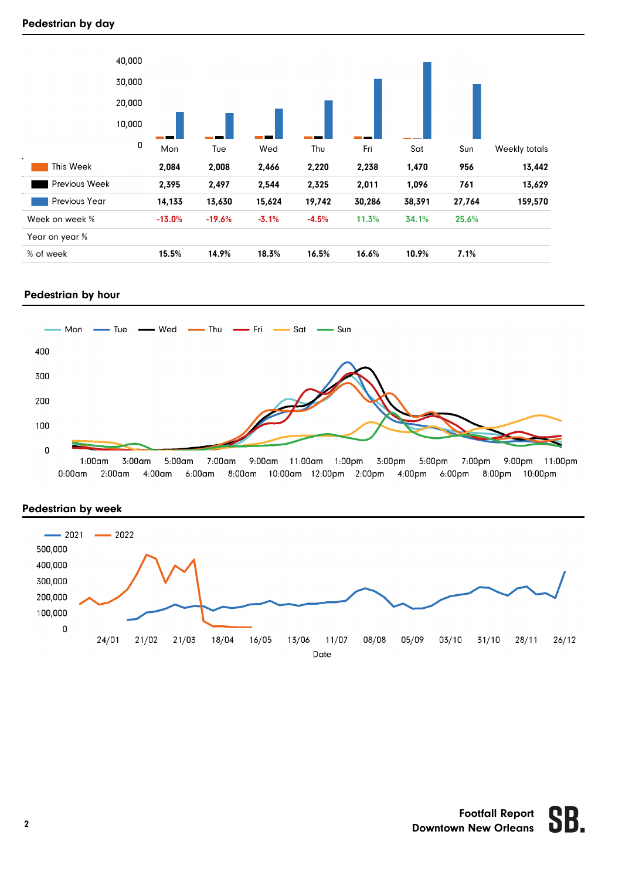# **Pedestrian by day**



# **Pedestrian by hour**



11:00pm  $0:00$ am  $2:00$ am  $4:00$ am 8:00am 10:00am 12:00pm 2:00pm 4:00pm 6:00pm 8:00pm 10:00pm  $6:00$ am



# **Pedestrian by week**